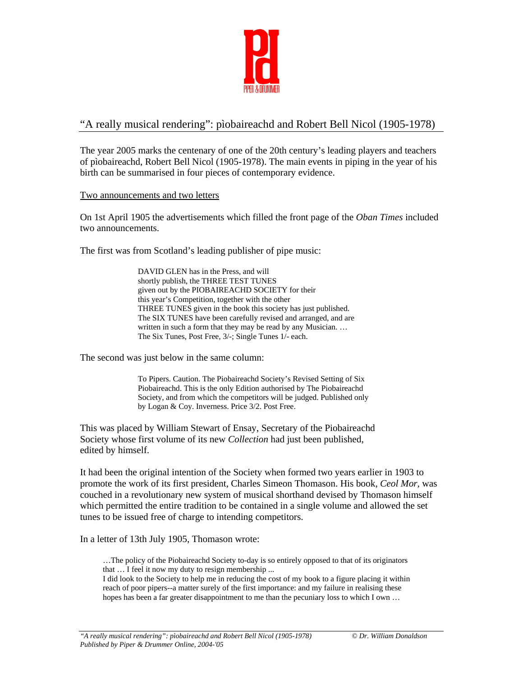

# "A really musical rendering": pìobaireachd and Robert Bell Nicol (1905-1978)

The year 2005 marks the centenary of one of the 20th century's leading players and teachers of pìobaireachd, Robert Bell Nicol (1905-1978). The main events in piping in the year of his birth can be summarised in four pieces of contemporary evidence.

#### Two announcements and two letters

On 1st April 1905 the advertisements which filled the front page of the *Oban Times* included two announcements.

The first was from Scotland's leading publisher of pipe music:

 DAVID GLEN has in the Press, and will shortly publish, the THREE TEST TUNES given out by the PIOBAIREACHD SOCIETY for their this year's Competition, together with the other THREE TUNES given in the book this society has just published. The SIX TUNES have been carefully revised and arranged, and are written in such a form that they may be read by any Musician. ... The Six Tunes, Post Free, 3/-; Single Tunes 1/- each.

The second was just below in the same column:

 To Pipers. Caution. The Piobaireachd Society's Revised Setting of Six Piobaireachd. This is the only Edition authorised by The Piobaireachd Society, and from which the competitors will be judged. Published only by Logan & Coy. Inverness. Price 3/2. Post Free.

This was placed by William Stewart of Ensay, Secretary of the Piobaireachd Society whose first volume of its new *Collection* had just been published, edited by himself.

It had been the original intention of the Society when formed two years earlier in 1903 to promote the work of its first president, Charles Simeon Thomason. His book, *Ceol Mor,* was couched in a revolutionary new system of musical shorthand devised by Thomason himself which permitted the entire tradition to be contained in a single volume and allowed the set tunes to be issued free of charge to intending competitors.

In a letter of 13th July 1905, Thomason wrote:

…The policy of the Piobaireachd Society to-day is so entirely opposed to that of its originators that … I feel it now my duty to resign membership ...

I did look to the Society to help me in reducing the cost of my book to a figure placing it within reach of poor pipers--a matter surely of the first importance: and my failure in realising these hopes has been a far greater disappointment to me than the pecuniary loss to which I own ...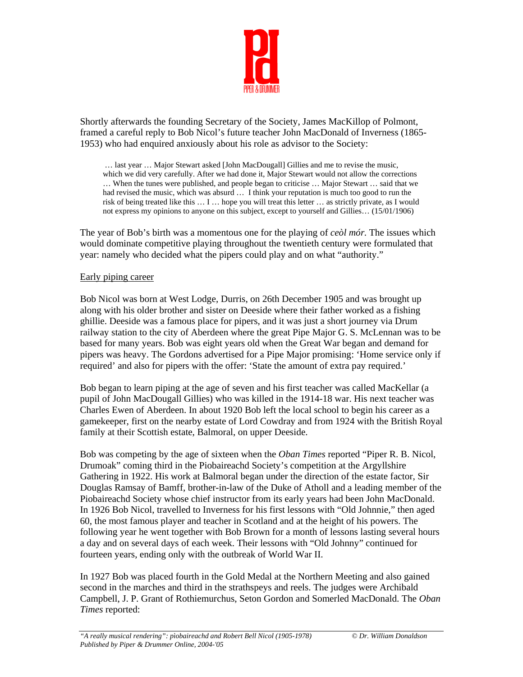

Shortly afterwards the founding Secretary of the Society, James MacKillop of Polmont, framed a careful reply to Bob Nicol's future teacher John MacDonald of Inverness (1865- 1953) who had enquired anxiously about his role as advisor to the Society:

 … last year … Major Stewart asked [John MacDougall] Gillies and me to revise the music, which we did very carefully. After we had done it, Major Stewart would not allow the corrections … When the tunes were published, and people began to criticise … Major Stewart … said that we had revised the music, which was absurd … I think your reputation is much too good to run the risk of being treated like this … I … hope you will treat this letter … as strictly private, as I would not express my opinions to anyone on this subject, except to yourself and Gillies… (15/01/1906)

The year of Bob's birth was a momentous one for the playing of *ceòl mór.* The issues which would dominate competitive playing throughout the twentieth century were formulated that year: namely who decided what the pipers could play and on what "authority."

#### Early piping career

Bob Nicol was born at West Lodge, Durris, on 26th December 1905 and was brought up along with his older brother and sister on Deeside where their father worked as a fishing ghillie. Deeside was a famous place for pipers, and it was just a short journey via Drum railway station to the city of Aberdeen where the great Pipe Major G. S. McLennan was to be based for many years. Bob was eight years old when the Great War began and demand for pipers was heavy. The Gordons advertised for a Pipe Major promising: 'Home service only if required' and also for pipers with the offer: 'State the amount of extra pay required.'

Bob began to learn piping at the age of seven and his first teacher was called MacKellar (a pupil of John MacDougall Gillies) who was killed in the 1914-18 war. His next teacher was Charles Ewen of Aberdeen. In about 1920 Bob left the local school to begin his career as a gamekeeper, first on the nearby estate of Lord Cowdray and from 1924 with the British Royal family at their Scottish estate, Balmoral, on upper Deeside.

Bob was competing by the age of sixteen when the *Oban Times* reported "Piper R. B. Nicol, Drumoak" coming third in the Piobaireachd Society's competition at the Argyllshire Gathering in 1922. His work at Balmoral began under the direction of the estate factor, Sir Douglas Ramsay of Bamff, brother-in-law of the Duke of Atholl and a leading member of the Piobaireachd Society whose chief instructor from its early years had been John MacDonald. In 1926 Bob Nicol, travelled to Inverness for his first lessons with "Old Johnnie," then aged 60, the most famous player and teacher in Scotland and at the height of his powers. The following year he went together with Bob Brown for a month of lessons lasting several hours a day and on several days of each week. Their lessons with "Old Johnny" continued for fourteen years, ending only with the outbreak of World War II.

In 1927 Bob was placed fourth in the Gold Medal at the Northern Meeting and also gained second in the marches and third in the strathspeys and reels. The judges were Archibald Campbell, J. P. Grant of Rothiemurchus, Seton Gordon and Somerled MacDonald. The *Oban Times* reported: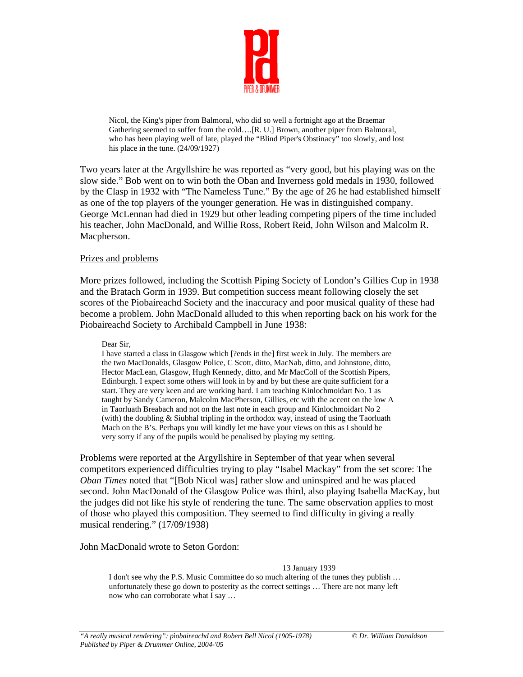

Nicol, the King's piper from Balmoral, who did so well a fortnight ago at the Braemar Gathering seemed to suffer from the cold….[R. U.] Brown, another piper from Balmoral, who has been playing well of late, played the "Blind Piper's Obstinacy" too slowly, and lost his place in the tune. (24/09/1927)

Two years later at the Argyllshire he was reported as "very good, but his playing was on the slow side." Bob went on to win both the Oban and Inverness gold medals in 1930, followed by the Clasp in 1932 with "The Nameless Tune." By the age of 26 he had established himself as one of the top players of the younger generation. He was in distinguished company. George McLennan had died in 1929 but other leading competing pipers of the time included his teacher, John MacDonald, and Willie Ross, Robert Reid, John Wilson and Malcolm R. Macpherson.

#### Prizes and problems

More prizes followed, including the Scottish Piping Society of London's Gillies Cup in 1938 and the Bratach Gorm in 1939. But competition success meant following closely the set scores of the Piobaireachd Society and the inaccuracy and poor musical quality of these had become a problem. John MacDonald alluded to this when reporting back on his work for the Piobaireachd Society to Archibald Campbell in June 1938:

#### Dear Sir,

I have started a class in Glasgow which [?ends in the] first week in July. The members are the two MacDonalds, Glasgow Police, C Scott, ditto, MacNab, ditto, and Johnstone, ditto, Hector MacLean, Glasgow, Hugh Kennedy, ditto, and Mr MacColl of the Scottish Pipers, Edinburgh. I expect some others will look in by and by but these are quite sufficient for a start. They are very keen and are working hard. I am teaching Kinlochmoidart No. 1 as taught by Sandy Cameron, Malcolm MacPherson, Gillies, etc with the accent on the low A in Taorluath Breabach and not on the last note in each group and Kinlochmoidart No 2 (with) the doubling & Siubhal tripling in the orthodox way, instead of using the Taorluath Mach on the B's. Perhaps you will kindly let me have your views on this as I should be very sorry if any of the pupils would be penalised by playing my setting.

Problems were reported at the Argyllshire in September of that year when several competitors experienced difficulties trying to play "Isabel Mackay" from the set score: The *Oban Times* noted that "[Bob Nicol was] rather slow and uninspired and he was placed second. John MacDonald of the Glasgow Police was third, also playing Isabella MacKay, but the judges did not like his style of rendering the tune. The same observation applies to most of those who played this composition. They seemed to find difficulty in giving a really musical rendering." (17/09/1938)

John MacDonald wrote to Seton Gordon:

13 January 1939

I don't see why the P.S. Music Committee do so much altering of the tunes they publish … unfortunately these go down to posterity as the correct settings … There are not many left now who can corroborate what I say …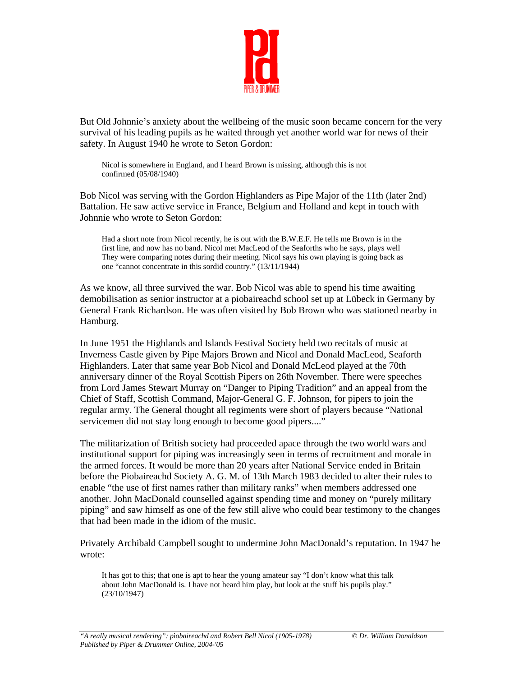

But Old Johnnie's anxiety about the wellbeing of the music soon became concern for the very survival of his leading pupils as he waited through yet another world war for news of their safety. In August 1940 he wrote to Seton Gordon:

Nicol is somewhere in England, and I heard Brown is missing, although this is not confirmed (05/08/1940)

Bob Nicol was serving with the Gordon Highlanders as Pipe Major of the 11th (later 2nd) Battalion. He saw active service in France, Belgium and Holland and kept in touch with Johnnie who wrote to Seton Gordon:

Had a short note from Nicol recently, he is out with the B.W.E.F. He tells me Brown is in the first line, and now has no band. Nicol met MacLeod of the Seaforths who he says, plays well They were comparing notes during their meeting. Nicol says his own playing is going back as one "cannot concentrate in this sordid country." (13/11/1944)

As we know, all three survived the war. Bob Nicol was able to spend his time awaiting demobilisation as senior instructor at a piobaireachd school set up at Lübeck in Germany by General Frank Richardson. He was often visited by Bob Brown who was stationed nearby in Hamburg.

In June 1951 the Highlands and Islands Festival Society held two recitals of music at Inverness Castle given by Pipe Majors Brown and Nicol and Donald MacLeod, Seaforth Highlanders. Later that same year Bob Nicol and Donald McLeod played at the 70th anniversary dinner of the Royal Scottish Pipers on 26th November. There were speeches from Lord James Stewart Murray on "Danger to Piping Tradition" and an appeal from the Chief of Staff, Scottish Command, Major-General G. F. Johnson, for pipers to join the regular army. The General thought all regiments were short of players because "National servicemen did not stay long enough to become good pipers...."

The militarization of British society had proceeded apace through the two world wars and institutional support for piping was increasingly seen in terms of recruitment and morale in the armed forces. It would be more than 20 years after National Service ended in Britain before the Piobaireachd Society A. G. M. of 13th March 1983 decided to alter their rules to enable "the use of first names rather than military ranks" when members addressed one another. John MacDonald counselled against spending time and money on "purely military piping" and saw himself as one of the few still alive who could bear testimony to the changes that had been made in the idiom of the music.

Privately Archibald Campbell sought to undermine John MacDonald's reputation. In 1947 he wrote:

 It has got to this; that one is apt to hear the young amateur say "I don't know what this talk about John MacDonald is. I have not heard him play, but look at the stuff his pupils play." (23/10/1947)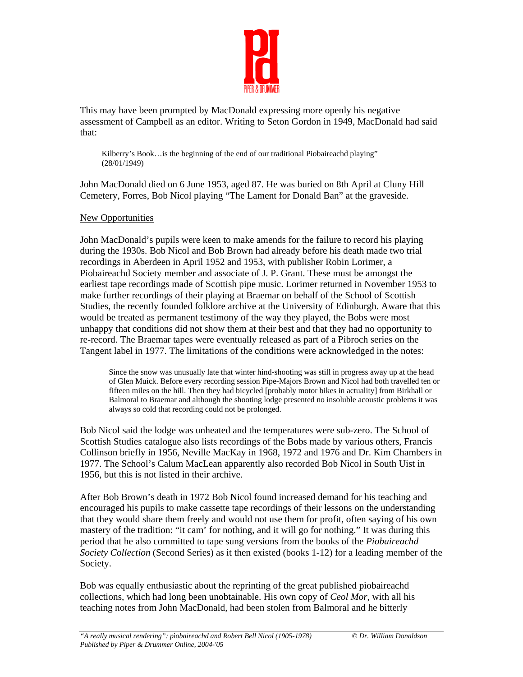

This may have been prompted by MacDonald expressing more openly his negative assessment of Campbell as an editor. Writing to Seton Gordon in 1949, MacDonald had said that:

Kilberry's Book…is the beginning of the end of our traditional Piobaireachd playing" (28/01/1949)

John MacDonald died on 6 June 1953, aged 87. He was buried on 8th April at Cluny Hill Cemetery, Forres, Bob Nicol playing "The Lament for Donald Ban" at the graveside.

#### New Opportunities

John MacDonald's pupils were keen to make amends for the failure to record his playing during the 1930s. Bob Nicol and Bob Brown had already before his death made two trial recordings in Aberdeen in April 1952 and 1953, with publisher Robin Lorimer, a Piobaireachd Society member and associate of J. P. Grant. These must be amongst the earliest tape recordings made of Scottish pipe music. Lorimer returned in November 1953 to make further recordings of their playing at Braemar on behalf of the School of Scottish Studies, the recently founded folklore archive at the University of Edinburgh. Aware that this would be treated as permanent testimony of the way they played, the Bobs were most unhappy that conditions did not show them at their best and that they had no opportunity to re-record. The Braemar tapes were eventually released as part of a Pibroch series on the Tangent label in 1977. The limitations of the conditions were acknowledged in the notes:

Since the snow was unusually late that winter hind-shooting was still in progress away up at the head of Glen Muick. Before every recording session Pipe-Majors Brown and Nicol had both travelled ten or fifteen miles on the hill. Then they had bicycled [probably motor bikes in actuality] from Birkhall or Balmoral to Braemar and although the shooting lodge presented no insoluble acoustic problems it was always so cold that recording could not be prolonged.

Bob Nicol said the lodge was unheated and the temperatures were sub-zero. The School of Scottish Studies catalogue also lists recordings of the Bobs made by various others, Francis Collinson briefly in 1956, Neville MacKay in 1968, 1972 and 1976 and Dr. Kim Chambers in 1977. The School's Calum MacLean apparently also recorded Bob Nicol in South Uist in 1956, but this is not listed in their archive.

After Bob Brown's death in 1972 Bob Nicol found increased demand for his teaching and encouraged his pupils to make cassette tape recordings of their lessons on the understanding that they would share them freely and would not use them for profit, often saying of his own mastery of the tradition: "it cam' for nothing, and it will go for nothing." It was during this period that he also committed to tape sung versions from the books of the *Piobaireachd Society Collection* (Second Series) as it then existed (books 1-12) for a leading member of the Society.

Bob was equally enthusiastic about the reprinting of the great published pìobaireachd collections, which had long been unobtainable. His own copy of *Ceol Mor*, with all his teaching notes from John MacDonald, had been stolen from Balmoral and he bitterly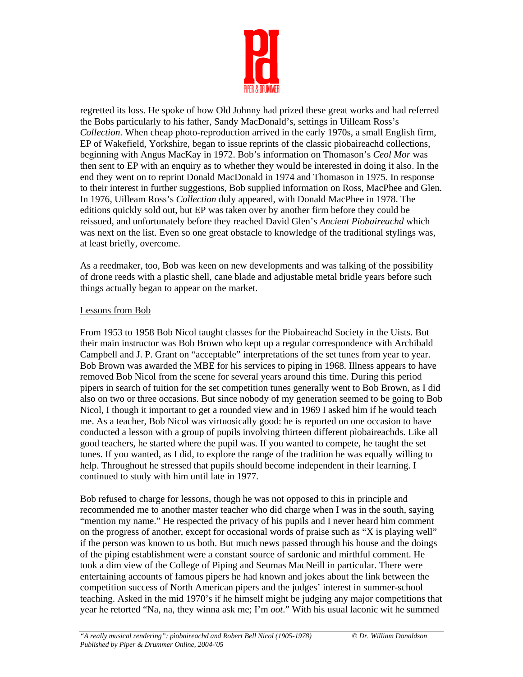

regretted its loss. He spoke of how Old Johnny had prized these great works and had referred the Bobs particularly to his father, Sandy MacDonald's, settings in Uilleam Ross's *Collection*. When cheap photo-reproduction arrived in the early 1970s, a small English firm, EP of Wakefield, Yorkshire, began to issue reprints of the classic pìobaireachd collections, beginning with Angus MacKay in 1972. Bob's information on Thomason's *Ceol Mor* was then sent to EP with an enquiry as to whether they would be interested in doing it also. In the end they went on to reprint Donald MacDonald in 1974 and Thomason in 1975. In response to their interest in further suggestions, Bob supplied information on Ross, MacPhee and Glen. In 1976, Uilleam Ross's *Collection* duly appeared, with Donald MacPhee in 1978. The editions quickly sold out, but EP was taken over by another firm before they could be reissued, and unfortunately before they reached David Glen's *Ancient Piobaireachd* which was next on the list. Even so one great obstacle to knowledge of the traditional stylings was, at least briefly, overcome.

As a reedmaker, too, Bob was keen on new developments and was talking of the possibility of drone reeds with a plastic shell, cane blade and adjustable metal bridle years before such things actually began to appear on the market.

## Lessons from Bob

From 1953 to 1958 Bob Nicol taught classes for the Piobaireachd Society in the Uists. But their main instructor was Bob Brown who kept up a regular correspondence with Archibald Campbell and J. P. Grant on "acceptable" interpretations of the set tunes from year to year. Bob Brown was awarded the MBE for his services to piping in 1968. Illness appears to have removed Bob Nicol from the scene for several years around this time. During this period pipers in search of tuition for the set competition tunes generally went to Bob Brown, as I did also on two or three occasions. But since nobody of my generation seemed to be going to Bob Nicol, I though it important to get a rounded view and in 1969 I asked him if he would teach me. As a teacher, Bob Nicol was virtuosically good: he is reported on one occasion to have conducted a lesson with a group of pupils involving thirteen different pìobaireachds. Like all good teachers, he started where the pupil was. If you wanted to compete, he taught the set tunes. If you wanted, as I did, to explore the range of the tradition he was equally willing to help. Throughout he stressed that pupils should become independent in their learning. I continued to study with him until late in 1977.

Bob refused to charge for lessons, though he was not opposed to this in principle and recommended me to another master teacher who did charge when I was in the south, saying "mention my name." He respected the privacy of his pupils and I never heard him comment on the progress of another, except for occasional words of praise such as "X is playing well" if the person was known to us both. But much news passed through his house and the doings of the piping establishment were a constant source of sardonic and mirthful comment. He took a dim view of the College of Piping and Seumas MacNeill in particular. There were entertaining accounts of famous pipers he had known and jokes about the link between the competition success of North American pipers and the judges' interest in summer-school teaching. Asked in the mid 1970's if he himself might be judging any major competitions that year he retorted "Na, na, they winna ask me; I'm *oot*." With his usual laconic wit he summed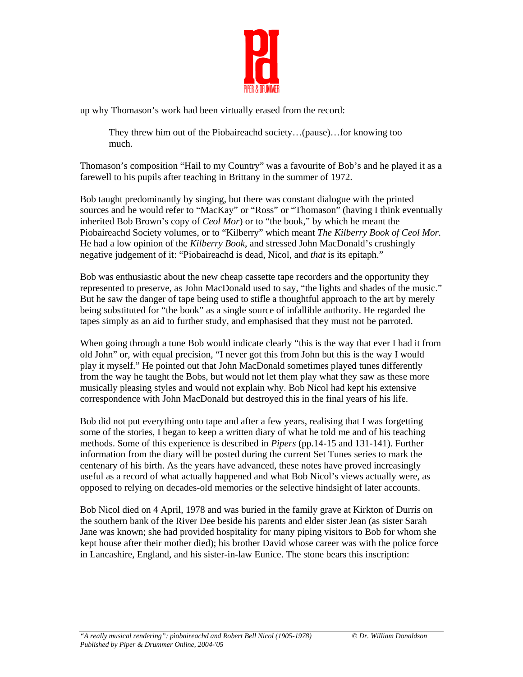

up why Thomason's work had been virtually erased from the record:

They threw him out of the Piobaireachd society…(pause)…for knowing too much.

Thomason's composition "Hail to my Country" was a favourite of Bob's and he played it as a farewell to his pupils after teaching in Brittany in the summer of 1972.

Bob taught predominantly by singing, but there was constant dialogue with the printed sources and he would refer to "MacKay" or "Ross" or "Thomason" (having I think eventually inherited Bob Brown's copy of *Ceol Mor*) or to "the book," by which he meant the Piobaireachd Society volumes, or to "Kilberry" which meant *The Kilberry Book of Ceol Mor.*  He had a low opinion of the *Kilberry Book*, and stressed John MacDonald's crushingly negative judgement of it: "Piobaireachd is dead, Nicol, and *that* is its epitaph."

Bob was enthusiastic about the new cheap cassette tape recorders and the opportunity they represented to preserve, as John MacDonald used to say, "the lights and shades of the music." But he saw the danger of tape being used to stifle a thoughtful approach to the art by merely being substituted for "the book" as a single source of infallible authority. He regarded the tapes simply as an aid to further study, and emphasised that they must not be parroted.

When going through a tune Bob would indicate clearly "this is the way that ever I had it from old John" or, with equal precision, "I never got this from John but this is the way I would play it myself." He pointed out that John MacDonald sometimes played tunes differently from the way he taught the Bobs, but would not let them play what they saw as these more musically pleasing styles and would not explain why. Bob Nicol had kept his extensive correspondence with John MacDonald but destroyed this in the final years of his life.

Bob did not put everything onto tape and after a few years, realising that I was forgetting some of the stories, I began to keep a written diary of what he told me and of his teaching methods. Some of this experience is described in *Pipers* (pp.14-15 and 131-141). Further information from the diary will be posted during the current Set Tunes series to mark the centenary of his birth. As the years have advanced, these notes have proved increasingly useful as a record of what actually happened and what Bob Nicol's views actually were, as opposed to relying on decades-old memories or the selective hindsight of later accounts.

Bob Nicol died on 4 April, 1978 and was buried in the family grave at Kirkton of Durris on the southern bank of the River Dee beside his parents and elder sister Jean (as sister Sarah Jane was known; she had provided hospitality for many piping visitors to Bob for whom she kept house after their mother died); his brother David whose career was with the police force in Lancashire, England, and his sister-in-law Eunice. The stone bears this inscription: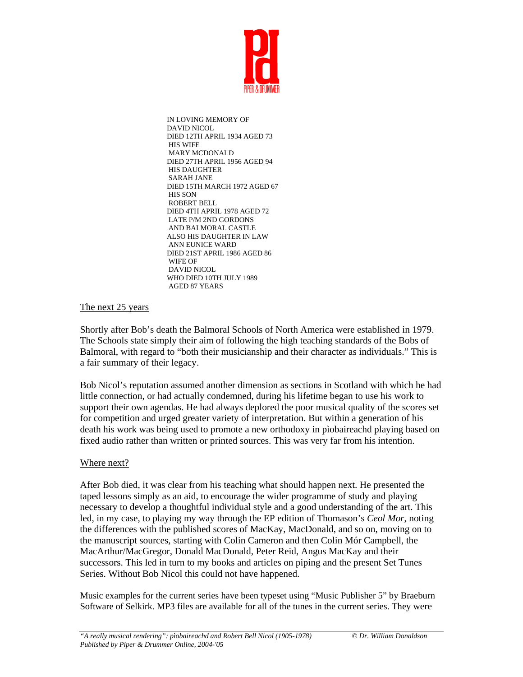

 IN LOVING MEMORY OF DAVID NICOL DIED 12TH APRIL 1934 AGED 73 HIS WIFE MARY MCDONALD DIED 27TH APRIL 1956 AGED 94 HIS DAUGHTER SARAH JANE DIED 15TH MARCH 1972 AGED 67 HIS SON ROBERT BELL DIED 4TH APRIL 1978 AGED 72 LATE P/M 2ND GORDONS AND BALMORAL CASTLE ALSO HIS DAUGHTER IN LAW ANN EUNICE WARD DIED 21ST APRIL 1986 AGED 86 WIFE OF DAVID NICOL WHO DIED 10TH JULY 1989 AGED 87 YEARS

## The next 25 years

Shortly after Bob's death the Balmoral Schools of North America were established in 1979. The Schools state simply their aim of following the high teaching standards of the Bobs of Balmoral, with regard to "both their musicianship and their character as individuals." This is a fair summary of their legacy.

Bob Nicol's reputation assumed another dimension as sections in Scotland with which he had little connection, or had actually condemned, during his lifetime began to use his work to support their own agendas. He had always deplored the poor musical quality of the scores set for competition and urged greater variety of interpretation. But within a generation of his death his work was being used to promote a new orthodoxy in pìobaireachd playing based on fixed audio rather than written or printed sources. This was very far from his intention.

## Where next?

After Bob died, it was clear from his teaching what should happen next. He presented the taped lessons simply as an aid, to encourage the wider programme of study and playing necessary to develop a thoughtful individual style and a good understanding of the art. This led, in my case, to playing my way through the EP edition of Thomason's *Ceol Mor*, noting the differences with the published scores of MacKay, MacDonald, and so on, moving on to the manuscript sources, starting with Colin Cameron and then Colin Mór Campbell, the MacArthur/MacGregor, Donald MacDonald, Peter Reid, Angus MacKay and their successors. This led in turn to my books and articles on piping and the present Set Tunes Series. Without Bob Nicol this could not have happened.

Music examples for the current series have been typeset using "Music Publisher 5" by Braeburn Software of Selkirk. MP3 files are available for all of the tunes in the current series. They were